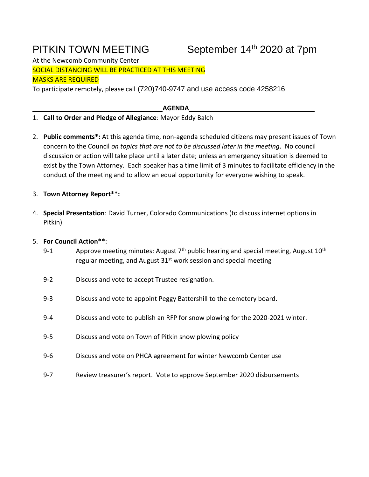# PITKIN TOWN MEETING

# September 14th 2020 at 7pm

At the Newcomb Community Center SOCIAL DISTANCING WILL BE PRACTICED AT THIS MEETING MASKS ARE REQUIRED

To participate remotely, please call (720)740-9747 and use access code 4258216

**AGENDA**

## 1. **Call to Order and Pledge of Allegiance**: Mayor Eddy Balch

- 2. **Public comments\*:** At this agenda time, non-agenda scheduled citizens may present issues of Town concern to the Council *on topics that are not to be discussed later in the meeting*. No council discussion or action will take place until a later date; unless an emergency situation is deemed to exist by the Town Attorney. Each speaker has a time limit of 3 minutes to facilitate efficiency in the conduct of the meeting and to allow an equal opportunity for everyone wishing to speak.
- 3. **Town Attorney Report\*\*:**
- 4. **Special Presentation**: David Turner, Colorado Communications (to discuss internet options in Pitkin)

## 5. **For Council Action\*\***:

- 9-1 Approve meeting minutes: August  $7<sup>th</sup>$  public hearing and special meeting, August  $10<sup>th</sup>$ regular meeting, and August  $31<sup>st</sup>$  work session and special meeting
- 9-2 Discuss and vote to accept Trustee resignation.
- 9-3 Discuss and vote to appoint Peggy Battershill to the cemetery board.
- 9-4 Discuss and vote to publish an RFP for snow plowing for the 2020-2021 winter.
- 9-5 Discuss and vote on Town of Pitkin snow plowing policy
- 9-6 Discuss and vote on PHCA agreement for winter Newcomb Center use
- 9-7 Review treasurer's report. Vote to approve September 2020 disbursements